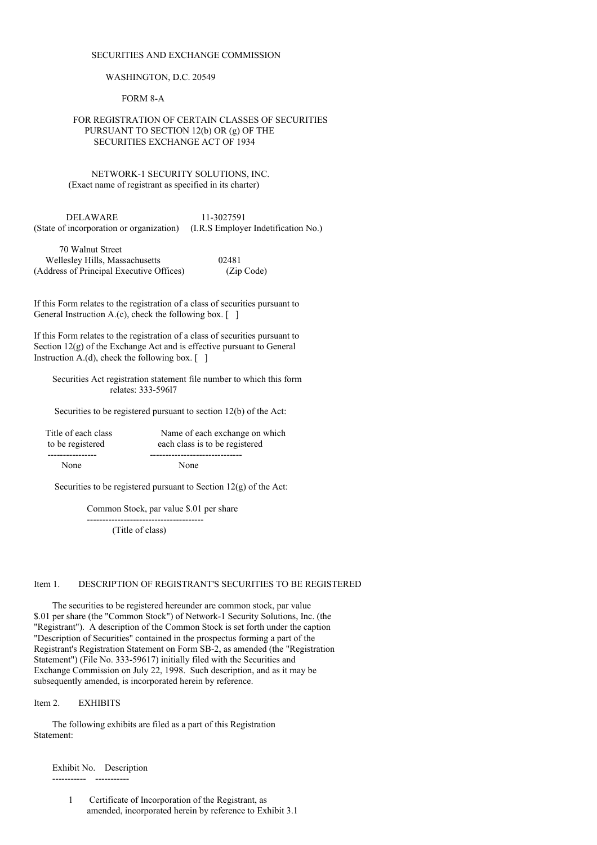#### SECURITIES AND EXCHANGE COMMISSION

#### WASHINGTON, D.C. 20549

FORM 8-A

### FOR REGISTRATION OF CERTAIN CLASSES OF SECURITIES PURSUANT TO SECTION 12(b) OR (g) OF THE SECURITIES EXCHANGE ACT OF 1934

NETWORK-1 SECURITY SOLUTIONS, INC. (Exact name of registrant as specified in its charter)

DELAWARE 11-3027591 (State of incorporation or organization) (I.R.S Employer Indetification No.)

| 70 Walnut Street                         |            |
|------------------------------------------|------------|
| Wellesley Hills, Massachusetts           | 02481      |
| (Address of Principal Executive Offices) | (Zip Code) |

If this Form relates to the registration of a class of securities pursuant to General Instruction A.(c), check the following box.  $\lceil \quad \rceil$ 

If this Form relates to the registration of a class of securities pursuant to Section  $12(g)$  of the Exchange Act and is effective pursuant to General Instruction A.(d), check the following box.  $\lceil \quad \rceil$ 

Securities Act registration statement file number to which this form relates: 333-596l7

Securities to be registered pursuant to section 12(b) of the Act:

| Title of each class | Name of each exchange on which |
|---------------------|--------------------------------|
| to be registered    | each class is to be registered |
|                     |                                |
| None                | None                           |

Securities to be registered pursuant to Section  $12(g)$  of the Act:

Common Stock, par value \$.01 per share

-------------------------------------- (Title of class)

#### Item 1. DESCRIPTION OF REGISTRANT'S SECURITIES TO BE REGISTERED

The securities to be registered hereunder are common stock, par value \$.01 per share (the "Common Stock") of Network-1 Security Solutions, Inc. (the "Registrant"). A description of the Common Stock is set forth under the caption "Description of Securities" contained in the prospectus forming a part of the Registrant's Registration Statement on Form SB-2, as amended (the "Registration Statement") (File No. 333-59617) initially filed with the Securities and Exchange Commission on July 22, 1998. Such description, and as it may be subsequently amended, is incorporated herein by reference.

Item 2. EXHIBITS

The following exhibits are filed as a part of this Registration Statement:

Exhibit No. Description

----------- -----------

1 Certificate of Incorporation of the Registrant, as amended, incorporated herein by reference to Exhibit 3.1